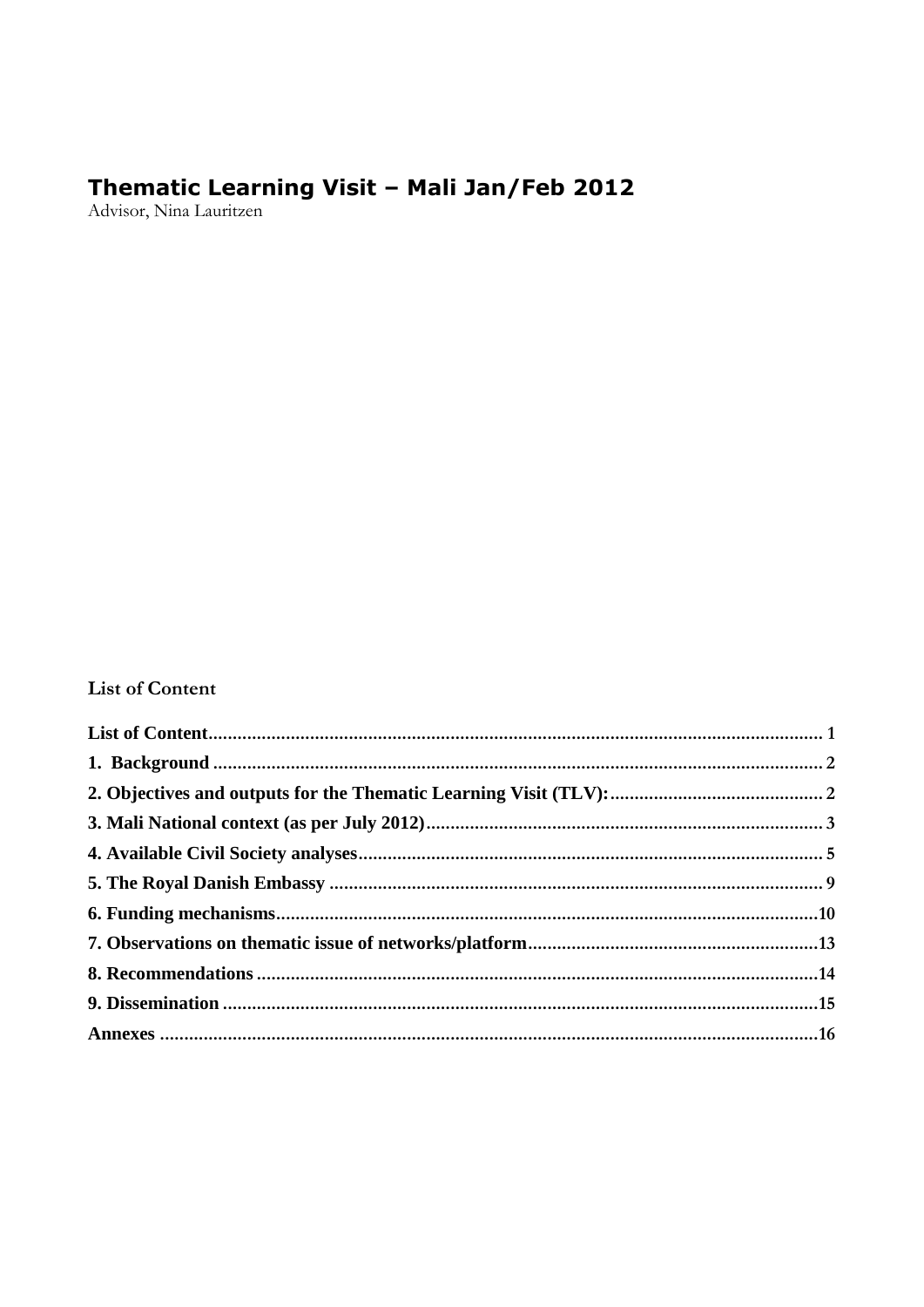# Thematic Learning Visit - Mali Jan/Feb 2012<br>Advisor, Nina Lauritzen

## <span id="page-0-0"></span>**List of Content**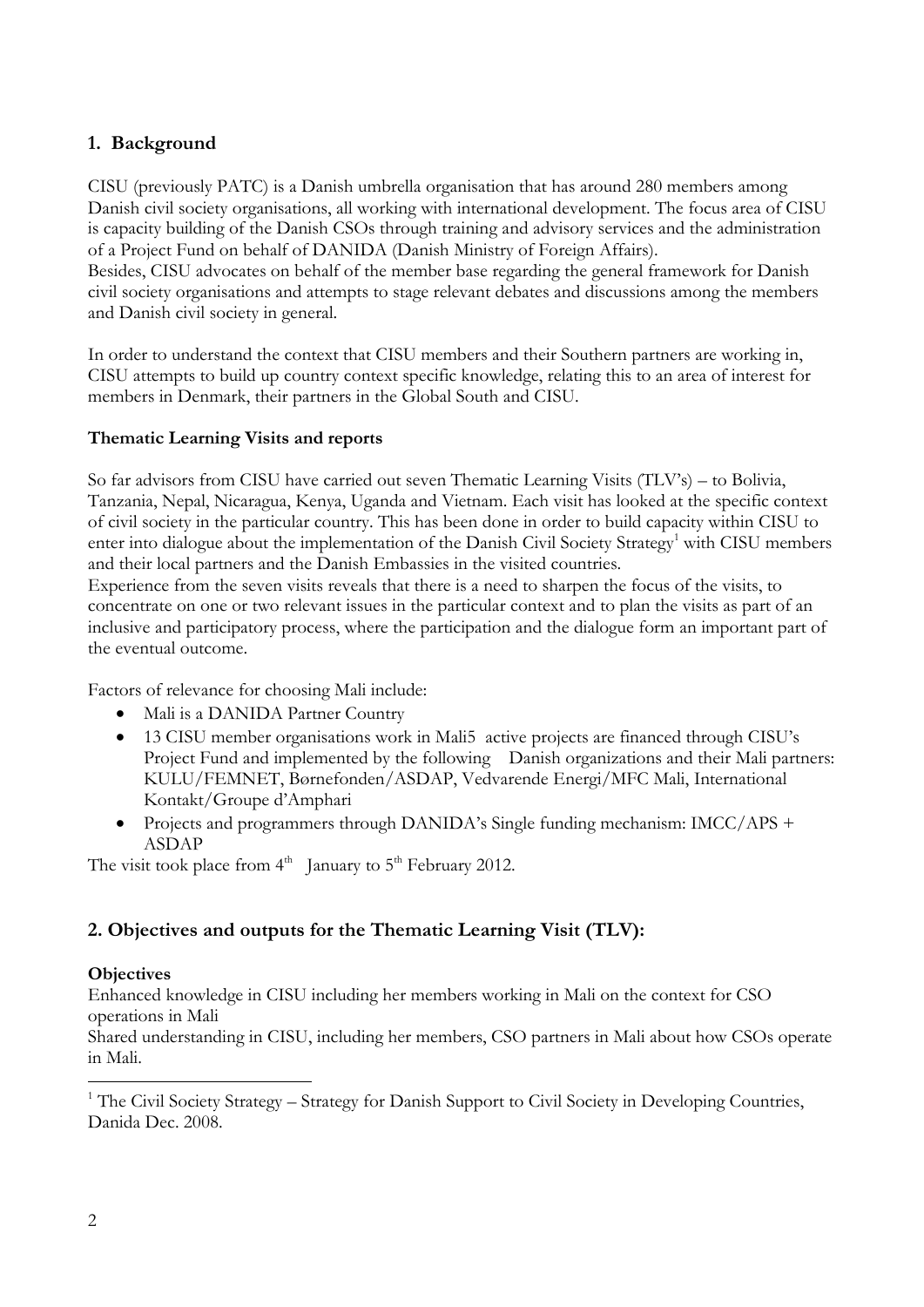## <span id="page-1-0"></span>**1. Background**

CISU (previously PATC) is a Danish umbrella organisation that has around 280 members among Danish civil society organisations, all working with international development. The focus area of CISU is capacity building of the Danish CSOs through training and advisory services and the administration of a Project Fund on behalf of DANIDA (Danish Ministry of Foreign Affairs).

Besides, CISU advocates on behalf of the member base regarding the general framework for Danish civil society organisations and attempts to stage relevant debates and discussions among the members and Danish civil society in general.

In order to understand the context that CISU members and their Southern partners are working in, CISU attempts to build up country context specific knowledge, relating this to an area of interest for members in Denmark, their partners in the Global South and CISU.

#### **Thematic Learning Visits and reports**

So far advisors from CISU have carried out seven Thematic Learning Visits (TLV's) – to Bolivia, Tanzania, Nepal, Nicaragua, Kenya, Uganda and Vietnam. Each visit has looked at the specific context of civil society in the particular country. This has been done in order to build capacity within CISU to enter into dialogue about the implementation of the Danish Civil Society Strategy<sup>1</sup> with CISU members and their local partners and the Danish Embassies in the visited countries.

Experience from the seven visits reveals that there is a need to sharpen the focus of the visits, to concentrate on one or two relevant issues in the particular context and to plan the visits as part of an inclusive and participatory process, where the participation and the dialogue form an important part of the eventual outcome.

Factors of relevance for choosing Mali include:

- Mali is a DANIDA Partner Country
- 13 CISU member organisations work in Mali5 active projects are financed through CISU's Project Fund and implemented by the following Danish organizations and their Mali partners: KULU/FEMNET, Børnefonden/ASDAP, Vedvarende Energi/MFC Mali, International Kontakt/Groupe d'Amphari
- Projects and programmers through DANIDA's Single funding mechanism: IMCC/APS + ASDAP

The visit took place from  $4<sup>th</sup>$  January to  $5<sup>th</sup>$  February 2012.

## <span id="page-1-1"></span>**2. Objectives and outputs for the Thematic Learning Visit (TLV):**

## **Objectives**

Enhanced knowledge in CISU including her members working in Mali on the context for CSO operations in Mali

Shared understanding in CISU, including her members, CSO partners in Mali about how CSOs operate in Mali.

-

 $1$  The Civil Society Strategy – Strategy for Danish Support to Civil Society in Developing Countries, Danida Dec. 2008.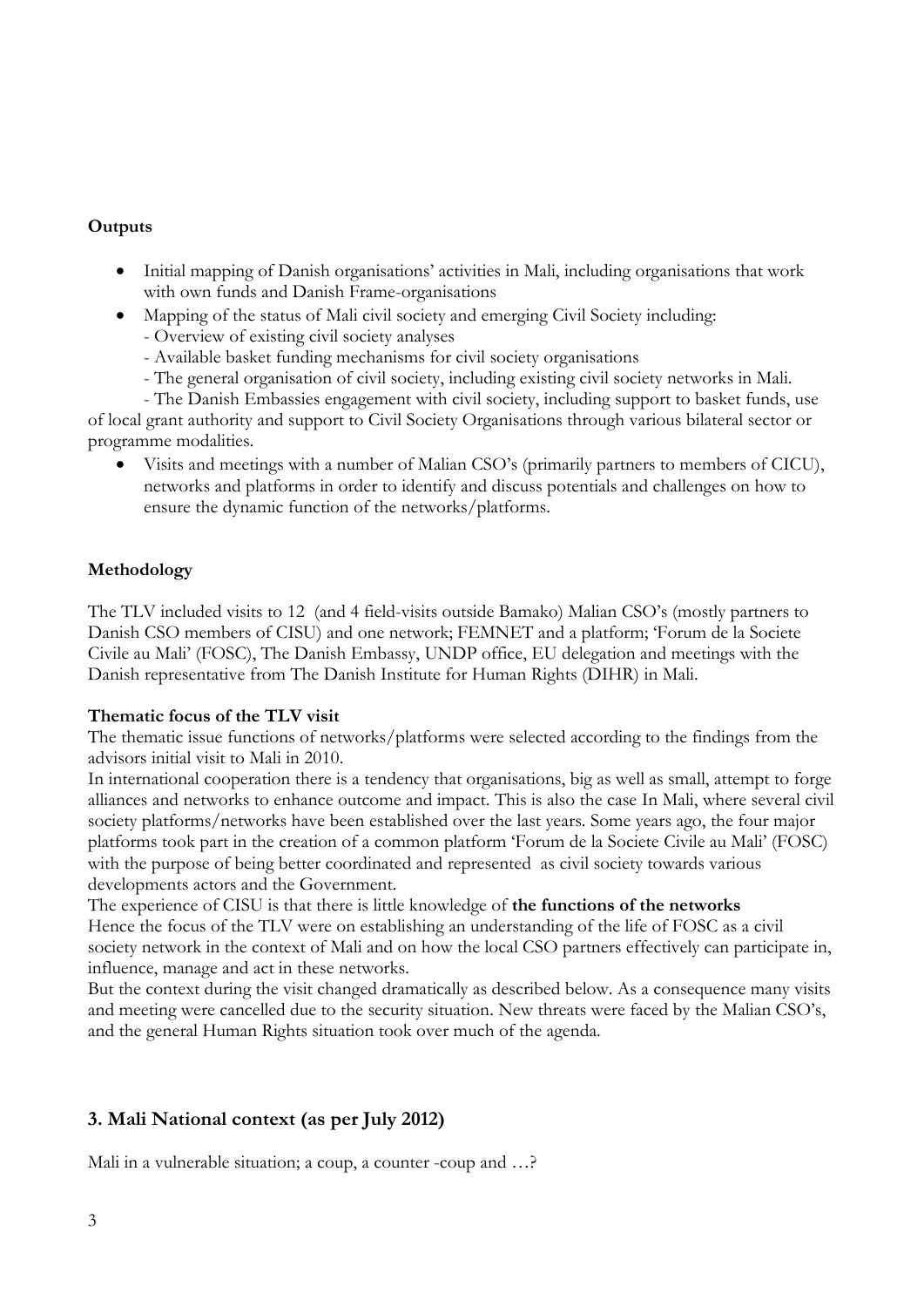## **Outputs**

- Initial mapping of Danish organisations' activities in Mali, including organisations that work with own funds and Danish Frame-organisations
- Mapping of the status of Mali civil society and emerging Civil Society including:
	- Overview of existing civil society analyses
	- Available basket funding mechanisms for civil society organisations
	- The general organisation of civil society, including existing civil society networks in Mali.
	- The Danish Embassies engagement with civil society, including support to basket funds, use

of local grant authority and support to Civil Society Organisations through various bilateral sector or programme modalities.

 Visits and meetings with a number of Malian CSO's (primarily partners to members of CICU), networks and platforms in order to identify and discuss potentials and challenges on how to ensure the dynamic function of the networks/platforms.

## **Methodology**

The TLV included visits to 12 (and 4 field-visits outside Bamako) Malian CSO's (mostly partners to Danish CSO members of CISU) and one network; FEMNET and a platform; 'Forum de la Societe Civile au Mali' (FOSC), The Danish Embassy, UNDP office, EU delegation and meetings with the Danish representative from The Danish Institute for Human Rights (DIHR) in Mali.

## **Thematic focus of the TLV visit**

The thematic issue functions of networks/platforms were selected according to the findings from the advisors initial visit to Mali in 2010.

In international cooperation there is a tendency that organisations, big as well as small, attempt to forge alliances and networks to enhance outcome and impact. This is also the case In Mali, where several civil society platforms/networks have been established over the last years. Some years ago, the four major platforms took part in the creation of a common platform 'Forum de la Societe Civile au Mali' (FOSC) with the purpose of being better coordinated and represented as civil society towards various developments actors and the Government.

The experience of CISU is that there is little knowledge of **the functions of the networks** Hence the focus of the TLV were on establishing an understanding of the life of FOSC as a civil society network in the context of Mali and on how the local CSO partners effectively can participate in, influence, manage and act in these networks.

But the context during the visit changed dramatically as described below. As a consequence many visits and meeting were cancelled due to the security situation. New threats were faced by the Malian CSO's, and the general Human Rights situation took over much of the agenda.

## <span id="page-2-0"></span>**3. Mali National context (as per July 2012)**

Mali in a vulnerable situation; a coup, a counter -coup and ...?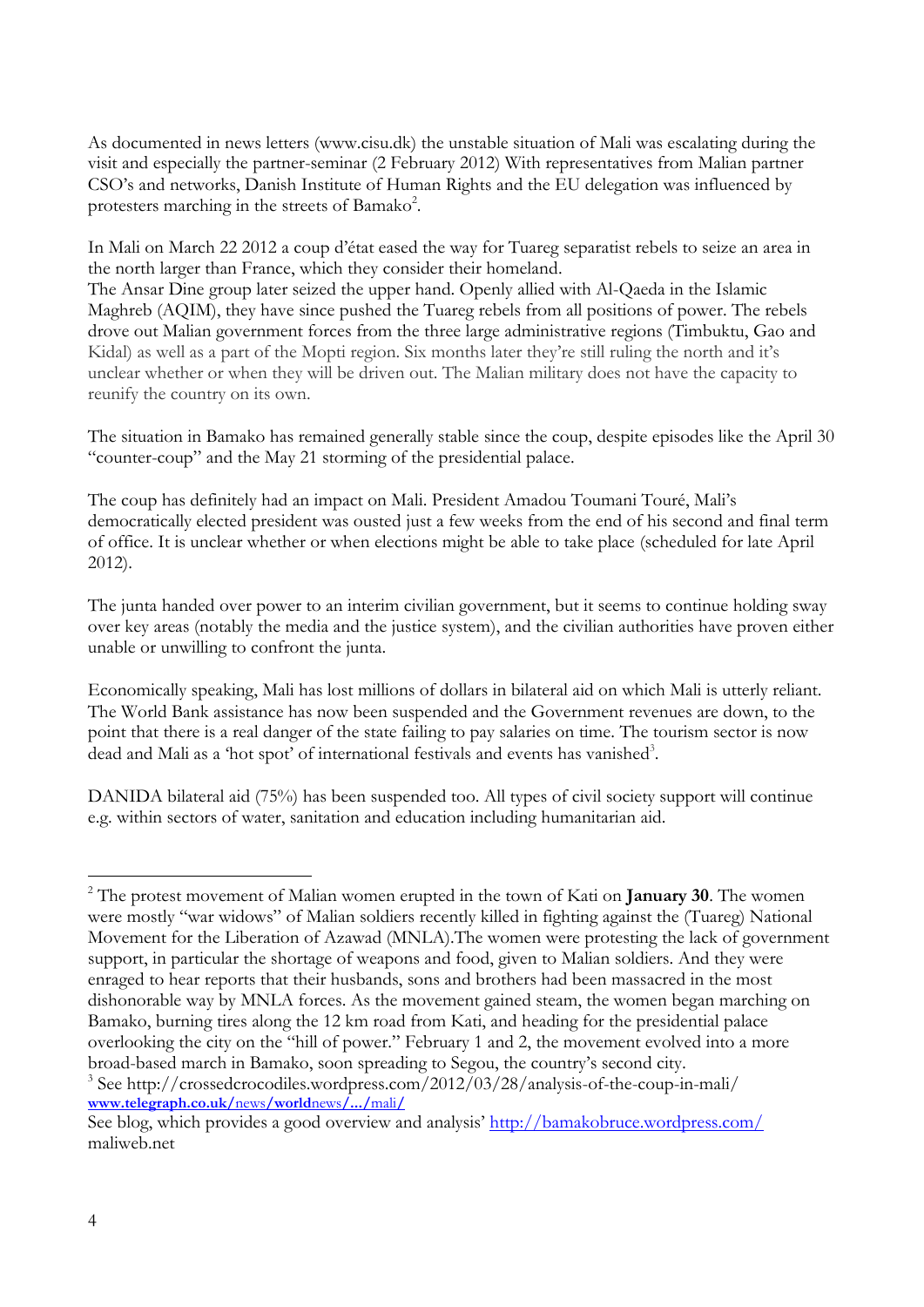As documented in news letters (www.cisu.dk) the unstable situation of Mali was escalating during the visit and especially the partner-seminar (2 February 2012) With representatives from Malian partner CSO's and networks, Danish Institute of Human Rights and the EU delegation was influenced by protesters marching in the streets of Bamako<sup>2</sup>.

In Mali on March 22 2012 a coup d'état eased the way for Tuareg separatist rebels to seize an area in the north larger than France, which they consider their homeland.

The Ansar Dine group later seized the upper hand. Openly allied with Al-Qaeda in the Islamic Maghreb (AQIM), they have since pushed the Tuareg rebels from all positions of power. The rebels drove out Malian government forces from the three large administrative regions (Timbuktu, Gao and Kidal) as well as a part of the Mopti region. Six months later they're still ruling the north and it's unclear whether or when they will be driven out. The Malian military does not have the capacity to reunify the country on its own.

The situation in Bamako has remained generally stable since the coup, despite episodes like the April 30 "counter-coup" and the May 21 storming of the presidential palace.

The coup has definitely had an impact on Mali. President Amadou Toumani Touré, Mali's democratically elected president was ousted just a few weeks from the end of his second and final term of office. It is unclear whether or when elections might be able to take place (scheduled for late April 2012).

The junta handed over power to an interim civilian government, but it seems to continue holding sway over key areas (notably the media and the justice system), and the civilian authorities have proven either unable or unwilling to confront the junta.

Economically speaking, Mali has lost millions of dollars in bilateral aid on which Mali is utterly reliant. The World Bank assistance has now been suspended and the Government revenues are down, to the point that there is a real danger of the state failing to pay salaries on time. The tourism sector is now dead and Mali as a 'hot spot' of international festivals and events has vanished<sup>3</sup>.

DANIDA bilateral aid (75%) has been suspended too. All types of civil society support will continue e.g. within sectors of water, sanitation and education including humanitarian aid.

**[www.telegraph.co.uk/](http://www.telegraph.co.uk/news/worldnews/.../mali/)**news**/world**news**/.../**mali**/**

<sup>-</sup><sup>2</sup> The protest movement of Malian women erupted in the town of Kati on **January 30**. The women were mostly "war widows" of Malian soldiers recently killed in fighting against the (Tuareg) National Movement for the Liberation of Azawad (MNLA).The women were protesting the lack of government support, in particular the shortage of weapons and food, given to Malian soldiers. And they were enraged to hear reports that their husbands, sons and brothers had been massacred in the most dishonorable way by MNLA forces. As the movement gained steam, the women began marching on Bamako, burning tires along the 12 km road from Kati, and heading for the presidential palace overlooking the city on the "hill of power." February 1 and 2, the movement evolved into a more broad-based march in Bamako, soon spreading to Segou, the country's second city*.*  <sup>3</sup> See http://crossedcrocodiles.wordpress.com/2012/03/28/analysis-of-the-coup-in-mali/

See blog, which provides a good overview and analysis' <http://bamakobruce.wordpress.com/> maliweb.net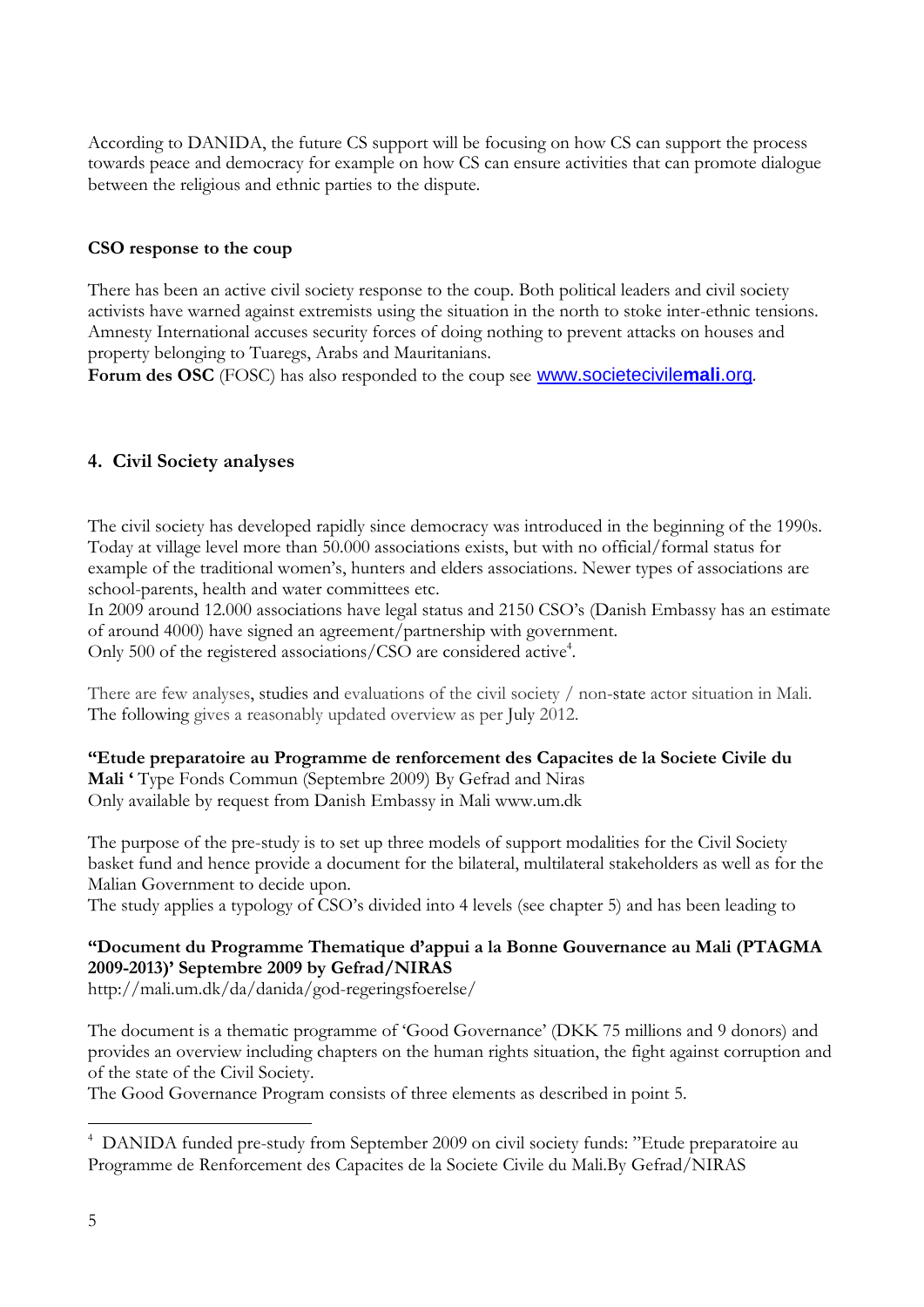According to DANIDA, the future CS support will be focusing on how CS can support the process towards peace and democracy for example on how CS can ensure activities that can promote dialogue between the religious and ethnic parties to the dispute.

#### **CSO response to the coup**

There has been an active civil society response to the coup. Both political leaders and civil society activists have warned against extremists using the situation in the north to stoke inter-ethnic tensions. Amnesty International accuses security forces of doing nothing to prevent attacks on houses and property belonging to Tuaregs, Arabs and Mauritanians.

**Forum des OSC** (FOSC) has also responded to the coup see [www.societecivile](http://www.societecivilemali.org/)**mali**.org*.*

## <span id="page-4-0"></span>**4. Civil Society analyses**

The civil society has developed rapidly since democracy was introduced in the beginning of the 1990s. Today at village level more than 50.000 associations exists, but with no official/formal status for example of the traditional women's, hunters and elders associations. Newer types of associations are school-parents, health and water committees etc.

In 2009 around 12.000 associations have legal status and 2150 CSO's (Danish Embassy has an estimate of around 4000) have signed an agreement/partnership with government. Only 500 of the registered associations/CSO are considered active<sup>4</sup>.

There are few analyses, studies and evaluations of the civil society / non-state actor situation in Mali. The following gives a reasonably updated overview as per July 2012.

**"Etude preparatoire au Programme de renforcement des Capacites de la Societe Civile du Mali '** Type Fonds Commun (Septembre 2009) By Gefrad and Niras Only available by request from Danish Embassy in Mali www.um.dk

The purpose of the pre-study is to set up three models of support modalities for the Civil Society basket fund and hence provide a document for the bilateral, multilateral stakeholders as well as for the Malian Government to decide upon.

The study applies a typology of CSO's divided into 4 levels (see chapter 5) and has been leading to

## **"Document du Programme Thematique d'appui a la Bonne Gouvernance au Mali (PTAGMA 2009-2013)' Septembre 2009 by Gefrad/NIRAS**

http://mali.um.dk/da/danida/god-regeringsfoerelse/

The document is a thematic programme of 'Good Governance' (DKK 75 millions and 9 donors) and provides an overview including chapters on the human rights situation, the fight against corruption and of the state of the Civil Society.

The Good Governance Program consists of three elements as described in point 5.

-

<sup>4</sup> DANIDA funded pre-study from September 2009 on civil society funds: "Etude preparatoire au Programme de Renforcement des Capacites de la Societe Civile du Mali.By Gefrad/NIRAS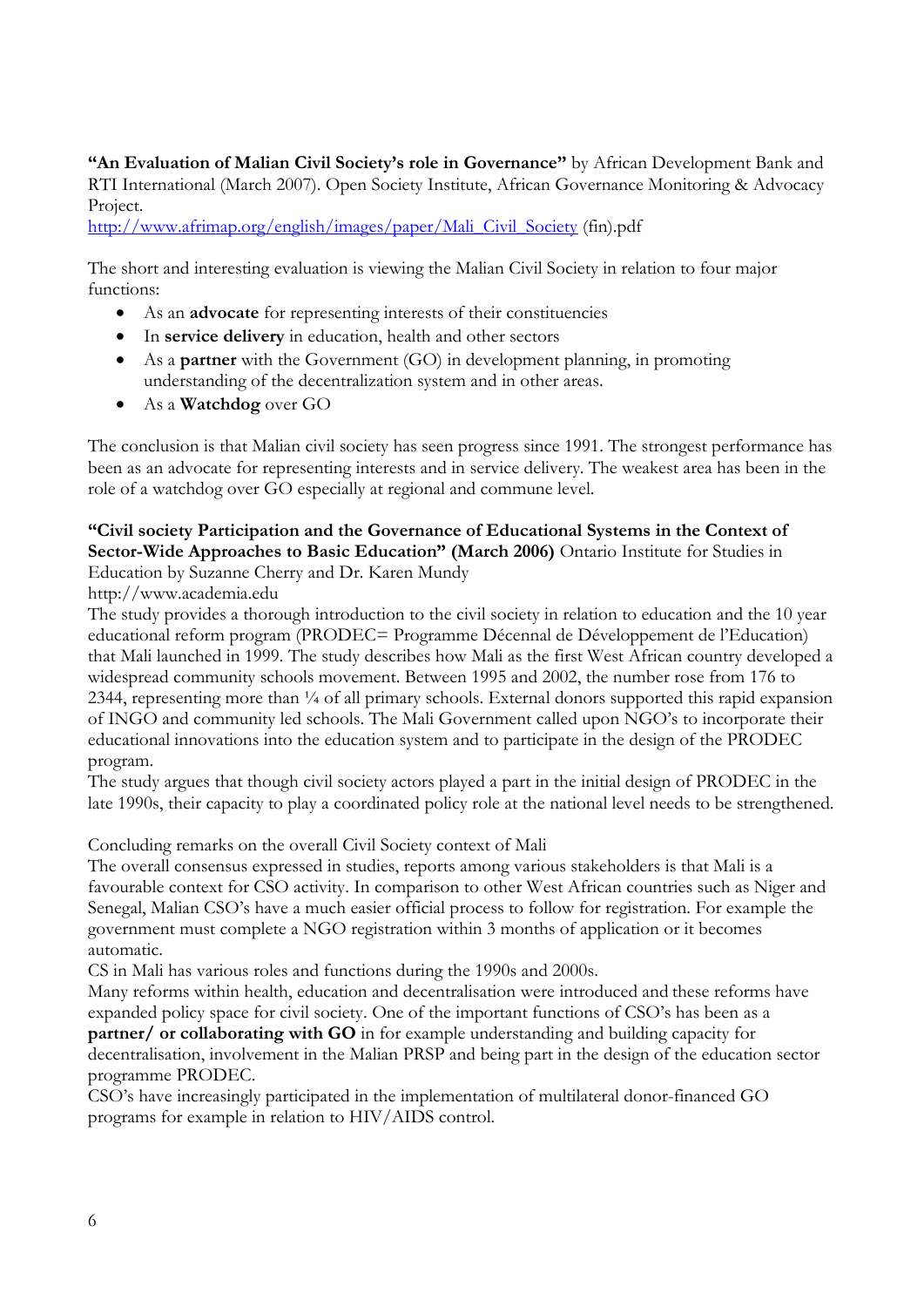**"An Evaluation of Malian Civil Society's role in Governance"** by African Development Bank and RTI International (March 2007). Open Society Institute, African Governance Monitoring & Advocacy Project.

[http://www.afrimap.org/english/images/paper/Mali\\_Civil\\_Society](http://www.afrimap.org/english/images/paper/Mali_Civil_Society) (fin).pdf

The short and interesting evaluation is viewing the Malian Civil Society in relation to four major functions:

- As an **advocate** for representing interests of their constituencies
- In **service delivery** in education, health and other sectors
- As a **partner** with the Government (GO) in development planning, in promoting understanding of the decentralization system and in other areas.
- As a **Watchdog** over GO

The conclusion is that Malian civil society has seen progress since 1991. The strongest performance has been as an advocate for representing interests and in service delivery. The weakest area has been in the role of a watchdog over GO especially at regional and commune level.

#### **"Civil society Participation and the Governance of Educational Systems in the Context of Sector-Wide Approaches to Basic Education" (March 2006)** Ontario Institute for Studies in Education by Suzanne Cherry and Dr. Karen Mundy

http://www.academia.edu

The study provides a thorough introduction to the civil society in relation to education and the 10 year educational reform program (PRODEC= Programme Décennal de Développement de l'Education) that Mali launched in 1999. The study describes how Mali as the first West African country developed a widespread community schools movement. Between 1995 and 2002, the number rose from 176 to 2344, representing more than  $\frac{1}{4}$  of all primary schools. External donors supported this rapid expansion of INGO and community led schools. The Mali Government called upon NGO's to incorporate their educational innovations into the education system and to participate in the design of the PRODEC program.

The study argues that though civil society actors played a part in the initial design of PRODEC in the late 1990s, their capacity to play a coordinated policy role at the national level needs to be strengthened.

Concluding remarks on the overall Civil Society context of Mali

The overall consensus expressed in studies, reports among various stakeholders is that Mali is a favourable context for CSO activity. In comparison to other West African countries such as Niger and Senegal, Malian CSO's have a much easier official process to follow for registration. For example the government must complete a NGO registration within 3 months of application or it becomes automatic.

CS in Mali has various roles and functions during the 1990s and 2000s.

Many reforms within health, education and decentralisation were introduced and these reforms have expanded policy space for civil society. One of the important functions of CSO's has been as a **partner/ or collaborating with GO** in for example understanding and building capacity for

decentralisation, involvement in the Malian PRSP and being part in the design of the education sector programme PRODEC.

CSO's have increasingly participated in the implementation of multilateral donor-financed GO programs for example in relation to HIV/AIDS control.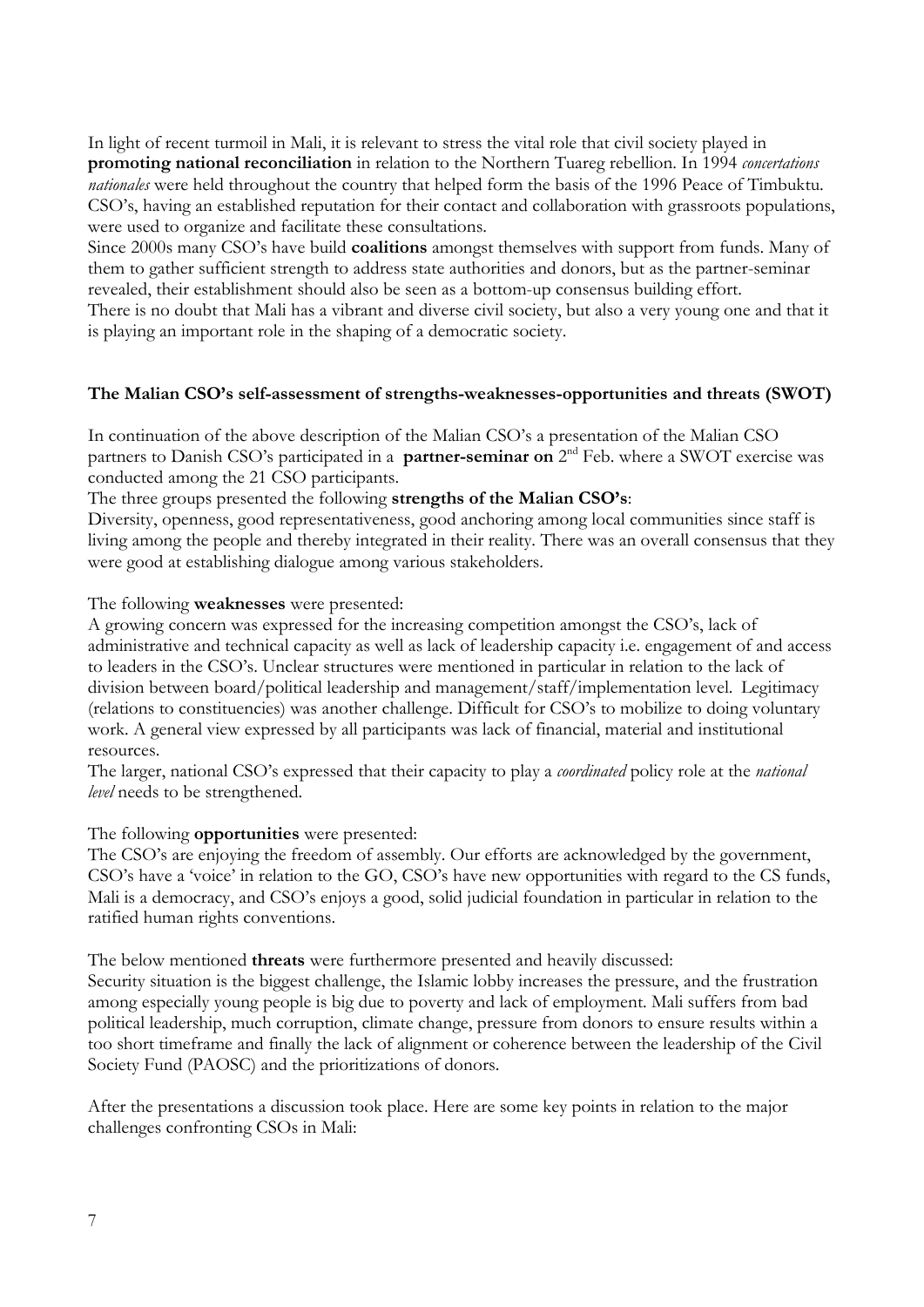In light of recent turmoil in Mali, it is relevant to stress the vital role that civil society played in **promoting national reconciliation** in relation to the Northern Tuareg rebellion. In 1994 *concertations nationales* were held throughout the country that helped form the basis of the 1996 Peace of Timbuktu. CSO's, having an established reputation for their contact and collaboration with grassroots populations, were used to organize and facilitate these consultations.

Since 2000s many CSO's have build **coalitions** amongst themselves with support from funds. Many of them to gather sufficient strength to address state authorities and donors, but as the partner-seminar revealed, their establishment should also be seen as a bottom-up consensus building effort.

There is no doubt that Mali has a vibrant and diverse civil society, but also a very young one and that it is playing an important role in the shaping of a democratic society.

#### **The Malian CSO's self-assessment of strengths-weaknesses-opportunities and threats (SWOT)**

In continuation of the above description of the Malian CSO's a presentation of the Malian CSO partners to Danish CSO's participated in a **partner-seminar on** 2<sup>nd</sup> Feb. where a SWOT exercise was conducted among the 21 CSO participants.

The three groups presented the following **strengths of the Malian CSO's**:

Diversity, openness, good representativeness, good anchoring among local communities since staff is living among the people and thereby integrated in their reality. There was an overall consensus that they were good at establishing dialogue among various stakeholders.

#### The following **weaknesses** were presented:

A growing concern was expressed for the increasing competition amongst the CSO's, lack of administrative and technical capacity as well as lack of leadership capacity i.e. engagement of and access to leaders in the CSO's. Unclear structures were mentioned in particular in relation to the lack of division between board/political leadership and management/staff/implementation level. Legitimacy (relations to constituencies) was another challenge. Difficult for CSO's to mobilize to doing voluntary work. A general view expressed by all participants was lack of financial, material and institutional resources.

The larger, national CSO's expressed that their capacity to play a *coordinated* policy role at the *national level* needs to be strengthened.

#### The following **opportunities** were presented:

The CSO's are enjoying the freedom of assembly. Our efforts are acknowledged by the government, CSO's have a 'voice' in relation to the GO, CSO's have new opportunities with regard to the CS funds, Mali is a democracy, and CSO's enjoys a good, solid judicial foundation in particular in relation to the ratified human rights conventions.

The below mentioned **threats** were furthermore presented and heavily discussed:

Security situation is the biggest challenge, the Islamic lobby increases the pressure, and the frustration among especially young people is big due to poverty and lack of employment. Mali suffers from bad political leadership, much corruption, climate change, pressure from donors to ensure results within a too short timeframe and finally the lack of alignment or coherence between the leadership of the Civil Society Fund (PAOSC) and the prioritizations of donors.

After the presentations a discussion took place. Here are some key points in relation to the major challenges confronting CSOs in Mali: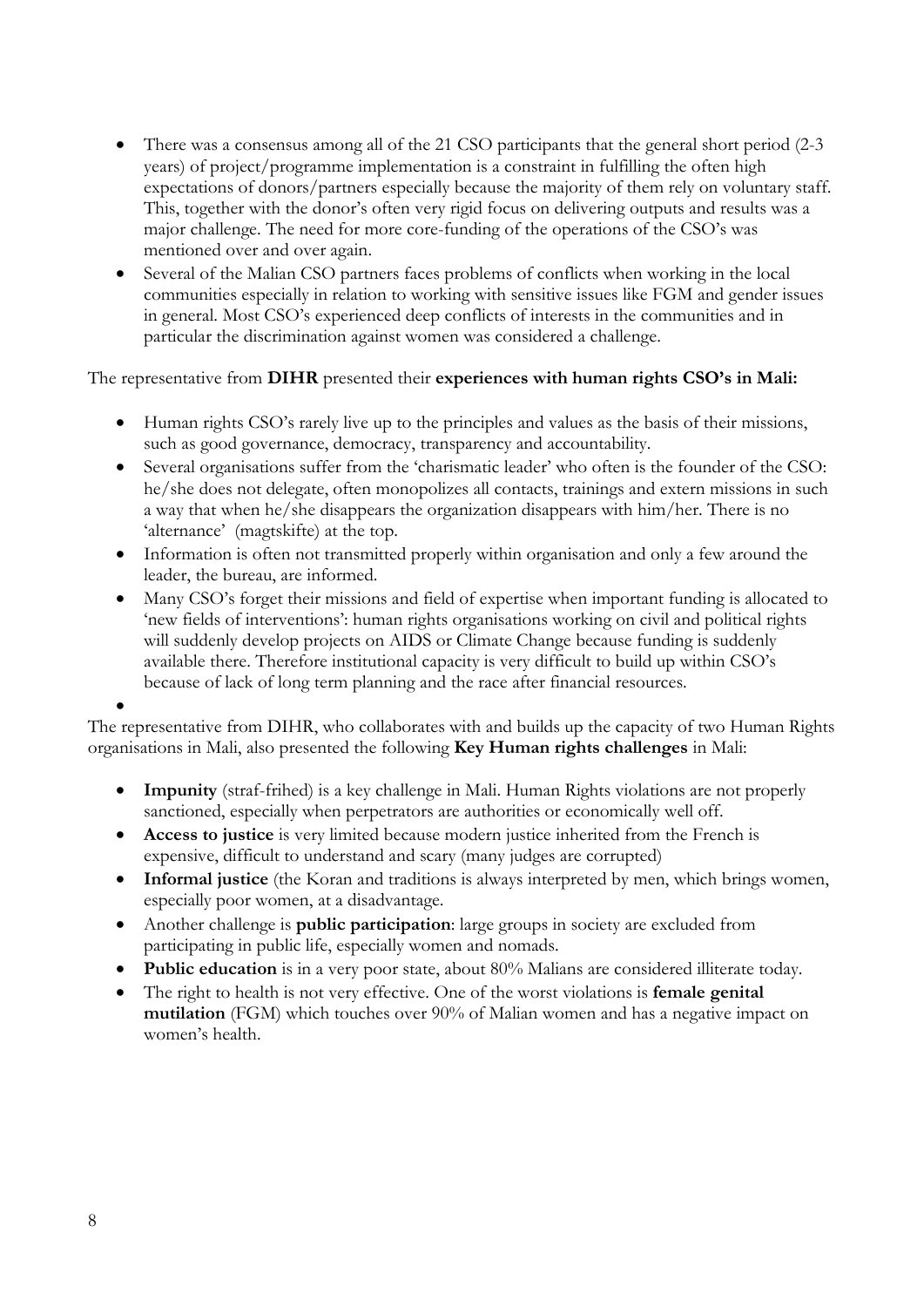- There was a consensus among all of the 21 CSO participants that the general short period (2-3) years) of project/programme implementation is a constraint in fulfilling the often high expectations of donors/partners especially because the majority of them rely on voluntary staff. This, together with the donor's often very rigid focus on delivering outputs and results was a major challenge. The need for more core-funding of the operations of the CSO's was mentioned over and over again.
- Several of the Malian CSO partners faces problems of conflicts when working in the local communities especially in relation to working with sensitive issues like FGM and gender issues in general. Most CSO's experienced deep conflicts of interests in the communities and in particular the discrimination against women was considered a challenge.

The representative from **DIHR** presented their **experiences with human rights CSO's in Mali:**

- Human rights CSO's rarely live up to the principles and values as the basis of their missions, such as good governance, democracy, transparency and accountability.
- Several organisations suffer from the 'charismatic leader' who often is the founder of the CSO: he/she does not delegate, often monopolizes all contacts, trainings and extern missions in such a way that when he/she disappears the organization disappears with him/her. There is no 'alternance' (magtskifte) at the top.
- Information is often not transmitted properly within organisation and only a few around the leader, the bureau, are informed.
- Many CSO's forget their missions and field of expertise when important funding is allocated to 'new fields of interventions': human rights organisations working on civil and political rights will suddenly develop projects on AIDS or Climate Change because funding is suddenly available there. Therefore institutional capacity is very difficult to build up within CSO's because of lack of long term planning and the race after financial resources.

 $\bullet$ 

The representative from DIHR, who collaborates with and builds up the capacity of two Human Rights organisations in Mali, also presented the following **Key Human rights challenges** in Mali:

- **Impunity** (straf-frihed) is a key challenge in Mali. Human Rights violations are not properly sanctioned, especially when perpetrators are authorities or economically well off.
- **Access to justice** is very limited because modern justice inherited from the French is expensive, difficult to understand and scary (many judges are corrupted)
- **Informal justice** (the Koran and traditions is always interpreted by men, which brings women, especially poor women, at a disadvantage.
- Another challenge is **public participation**: large groups in society are excluded from participating in public life, especially women and nomads.
- **Public education** is in a very poor state, about 80% Malians are considered illiterate today.
- The right to health is not very effective. One of the worst violations is **female genital mutilation** (FGM) which touches over 90% of Malian women and has a negative impact on women's health.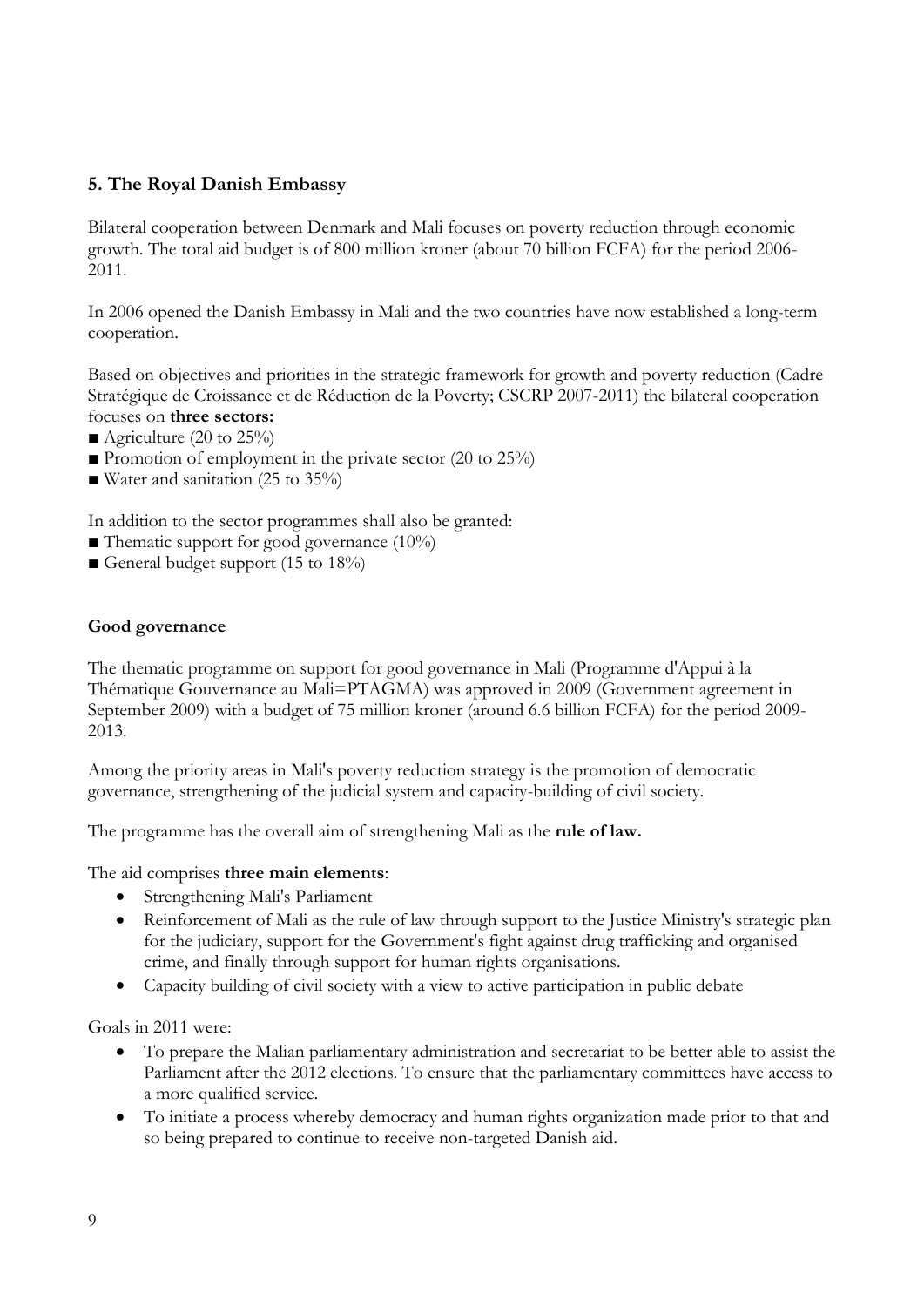## <span id="page-8-0"></span>**5. The Royal Danish Embassy**

Bilateral cooperation between Denmark and Mali focuses on poverty reduction through economic growth. The total aid budget is of 800 million kroner (about 70 billion FCFA) for the period 2006- 2011.

In 2006 opened the Danish Embassy in Mali and the two countries have now established a long-term cooperation.

Based on objectives and priorities in the strategic framework for growth and poverty reduction (Cadre Stratégique de Croissance et de Réduction de la Poverty; CSCRP 2007-2011) the bilateral cooperation focuses on **three sectors:**

- Agriculture (20 to  $25\%$ )
- **Promotion of employment in the private sector (20 to 25%)**
- Water and sanitation (25 to 35%)

In addition to the sector programmes shall also be granted:

- Thematic support for good governance  $(10\%)$
- General budget support (15 to  $18\%$ )

#### **Good governance**

The thematic programme on support for good governance in Mali (Programme d'Appui à la Thématique Gouvernance au Mali=PTAGMA) was approved in 2009 (Government agreement in September 2009) with a budget of 75 million kroner (around 6.6 billion FCFA) for the period 2009- 2013.

Among the priority areas in Mali's poverty reduction strategy is the promotion of democratic governance, strengthening of the judicial system and capacity-building of civil society.

The programme has the overall aim of strengthening Mali as the **rule of law.**

#### The aid comprises **three main elements**:

- Strengthening Mali's Parliament
- Reinforcement of Mali as the rule of law through support to the Justice Ministry's strategic plan for the judiciary, support for the Government's fight against drug trafficking and organised crime, and finally through support for human rights organisations.
- Capacity building of civil society with a view to active participation in public debate

Goals in 2011 were:

- To prepare the Malian parliamentary administration and secretariat to be better able to assist the Parliament after the 2012 elections. To ensure that the parliamentary committees have access to a more qualified service.
- To initiate a process whereby democracy and human rights organization made prior to that and so being prepared to continue to receive non-targeted Danish aid.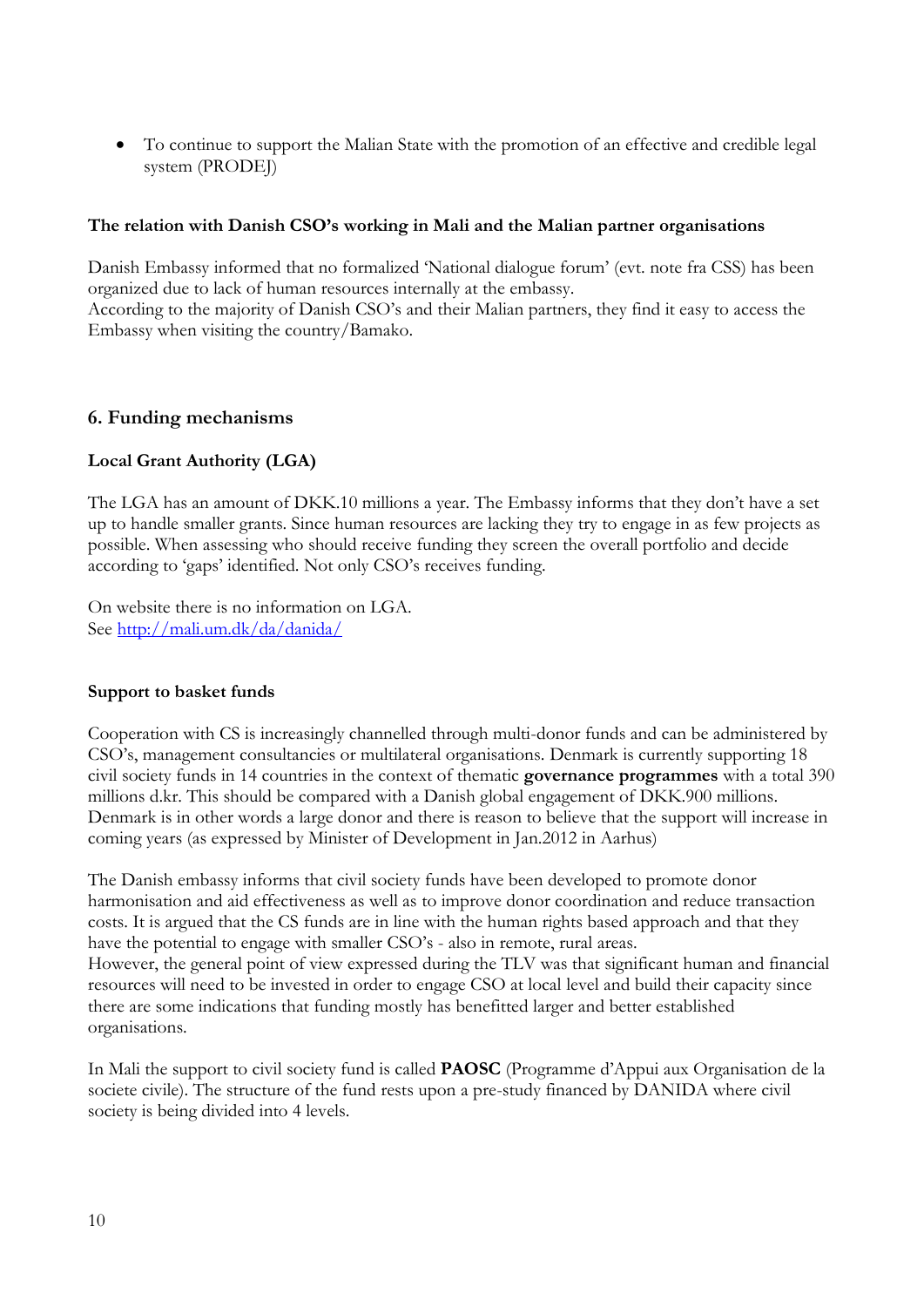To continue to support the Malian State with the promotion of an effective and credible legal system (PRODEJ)

#### **The relation with Danish CSO's working in Mali and the Malian partner organisations**

Danish Embassy informed that no formalized 'National dialogue forum' (evt. note fra CSS) has been organized due to lack of human resources internally at the embassy.

According to the majority of Danish CSO's and their Malian partners, they find it easy to access the Embassy when visiting the country/Bamako.

#### <span id="page-9-0"></span>**6. Funding mechanisms**

#### **Local Grant Authority (LGA)**

The LGA has an amount of DKK.10 millions a year. The Embassy informs that they don't have a set up to handle smaller grants. Since human resources are lacking they try to engage in as few projects as possible. When assessing who should receive funding they screen the overall portfolio and decide according to 'gaps' identified. Not only CSO's receives funding.

On website there is no information on LGA. See<http://mali.um.dk/da/danida/>

#### **Support to basket funds**

Cooperation with CS is increasingly channelled through multi-donor funds and can be administered by CSO's, management consultancies or multilateral organisations. Denmark is currently supporting 18 civil society funds in 14 countries in the context of thematic **governance programmes** with a total 390 millions d.kr. This should be compared with a Danish global engagement of DKK.900 millions. Denmark is in other words a large donor and there is reason to believe that the support will increase in coming years (as expressed by Minister of Development in Jan.2012 in Aarhus)

The Danish embassy informs that civil society funds have been developed to promote donor harmonisation and aid effectiveness as well as to improve donor coordination and reduce transaction costs. It is argued that the CS funds are in line with the human rights based approach and that they have the potential to engage with smaller CSO's - also in remote, rural areas. However, the general point of view expressed during the TLV was that significant human and financial resources will need to be invested in order to engage CSO at local level and build their capacity since there are some indications that funding mostly has benefitted larger and better established organisations.

In Mali the support to civil society fund is called **PAOSC** (Programme d'Appui aux Organisation de la societe civile). The structure of the fund rests upon a pre-study financed by DANIDA where civil society is being divided into 4 levels.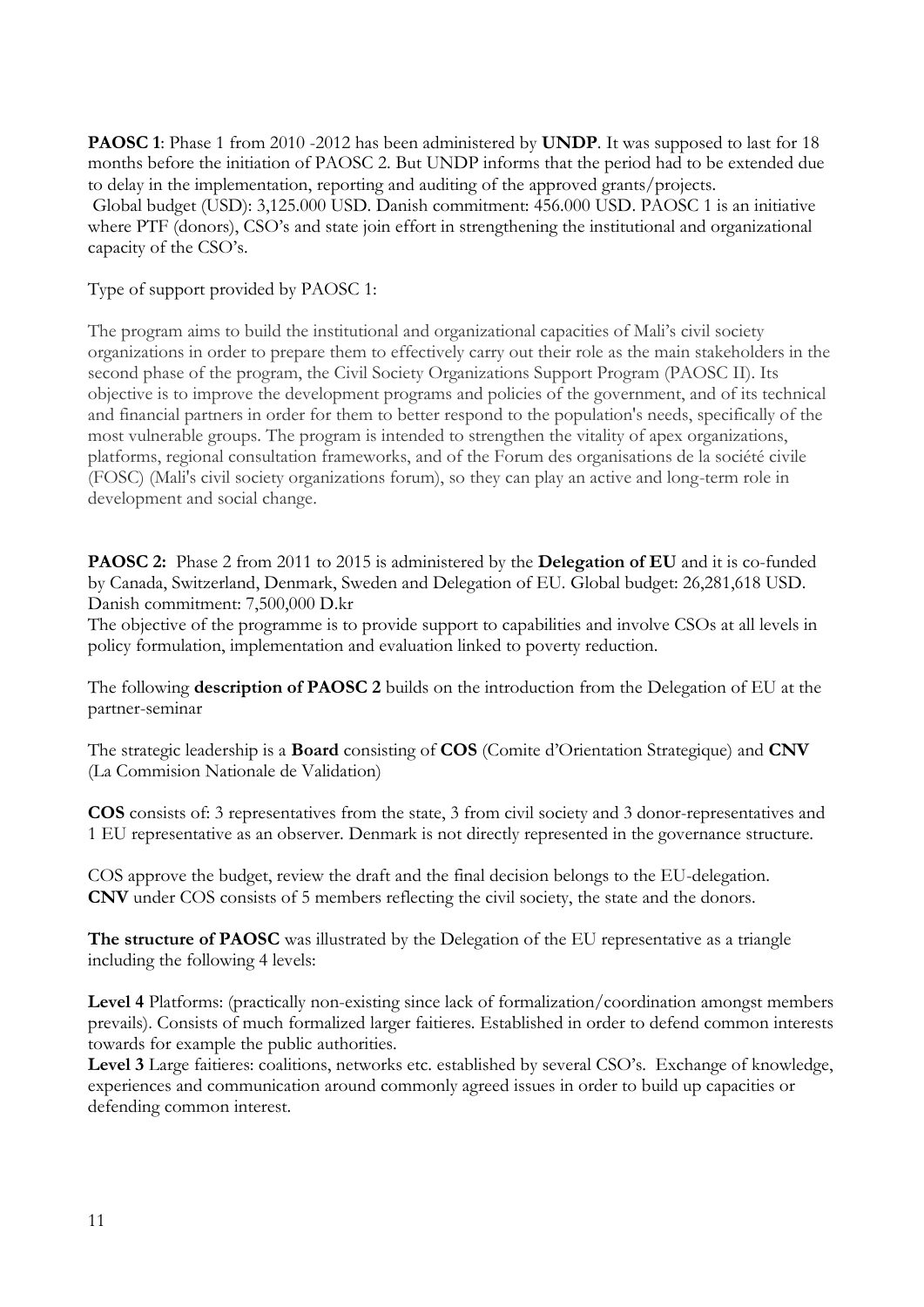**PAOSC 1**: Phase 1 from 2010 -2012 has been administered by **UNDP**. It was supposed to last for 18 months before the initiation of PAOSC 2. But UNDP informs that the period had to be extended due to delay in the implementation, reporting and auditing of the approved grants/projects. Global budget (USD): 3,125.000 USD. Danish commitment: 456.000 USD. PAOSC 1 is an initiative where PTF (donors), CSO's and state join effort in strengthening the institutional and organizational capacity of the CSO's.

#### Type of support provided by PAOSC 1:

The program aims to build the institutional and organizational capacities of Mali's civil society organizations in order to prepare them to effectively carry out their role as the main stakeholders in the second phase of the program, the Civil Society Organizations Support Program (PAOSC II). Its objective is to improve the development programs and policies of the government, and of its technical and financial partners in order for them to better respond to the population's needs, specifically of the most vulnerable groups. The program is intended to strengthen the vitality of apex organizations, platforms, regional consultation frameworks, and of the Forum des organisations de la société civile (FOSC) (Mali's civil society organizations forum), so they can play an active and long-term role in development and social change.

**PAOSC 2:** Phase 2 from 2011 to 2015 is administered by the **Delegation of EU** and it is co-funded by Canada, Switzerland, Denmark, Sweden and Delegation of EU. Global budget: 26,281,618 USD. Danish commitment: 7,500,000 D.kr

The objective of the programme is to provide support to capabilities and involve CSOs at all levels in policy formulation, implementation and evaluation linked to poverty reduction.

The following **description of PAOSC 2** builds on the introduction from the Delegation of EU at the partner-seminar

The strategic leadership is a **Board** consisting of **COS** (Comite d'Orientation Strategique) and **CNV** (La Commision Nationale de Validation)

**COS** consists of: 3 representatives from the state, 3 from civil society and 3 donor-representatives and 1 EU representative as an observer. Denmark is not directly represented in the governance structure.

COS approve the budget, review the draft and the final decision belongs to the EU-delegation. **CNV** under COS consists of 5 members reflecting the civil society, the state and the donors.

**The structure of PAOSC** was illustrated by the Delegation of the EU representative as a triangle including the following 4 levels:

**Level 4** Platforms: (practically non-existing since lack of formalization/coordination amongst members prevails). Consists of much formalized larger faitieres. Established in order to defend common interests towards for example the public authorities.

**Level 3** Large faitieres: coalitions, networks etc. established by several CSO's. Exchange of knowledge, experiences and communication around commonly agreed issues in order to build up capacities or defending common interest.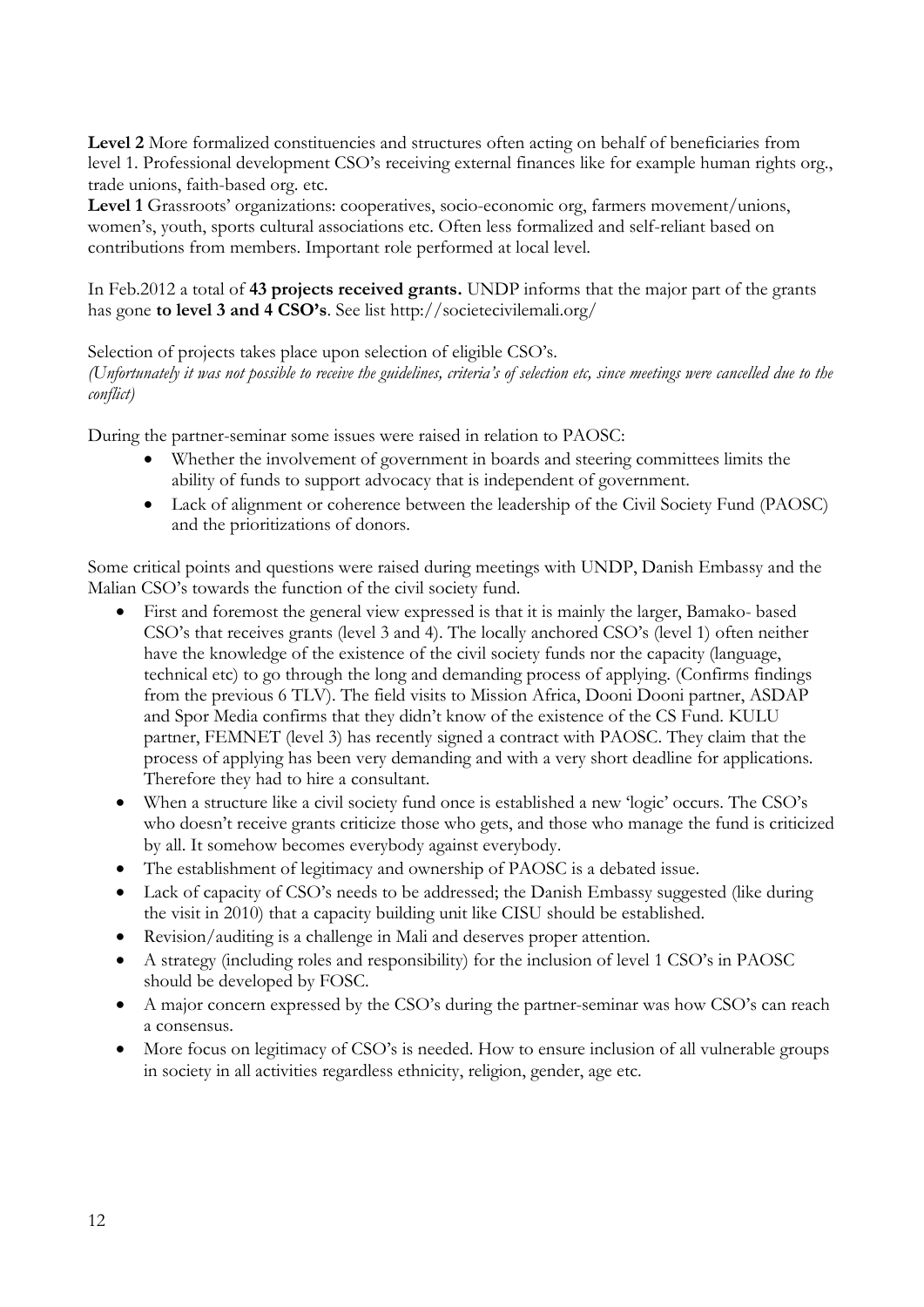**Level 2** More formalized constituencies and structures often acting on behalf of beneficiaries from level 1. Professional development CSO's receiving external finances like for example human rights org., trade unions, faith-based org. etc.

**Level 1** Grassroots' organizations: cooperatives, socio-economic org, farmers movement/unions, women's, youth, sports cultural associations etc. Often less formalized and self-reliant based on contributions from members. Important role performed at local level.

In Feb.2012 a total of **43 projects received grants.** UNDP informs that the major part of the grants has gone **to level 3 and 4 CSO's**. See list http://societecivilemali.org/

## Selection of projects takes place upon selection of eligible CSO's.

*(Unfortunately it was not possible to receive the guidelines, criteria's of selection etc, since meetings were cancelled due to the conflict)*

During the partner-seminar some issues were raised in relation to PAOSC:

- Whether the involvement of government in boards and steering committees limits the ability of funds to support advocacy that is independent of government.
- Lack of alignment or coherence between the leadership of the Civil Society Fund (PAOSC) and the prioritizations of donors.

Some critical points and questions were raised during meetings with UNDP, Danish Embassy and the Malian CSO's towards the function of the civil society fund.

- First and foremost the general view expressed is that it is mainly the larger, Bamako- based CSO's that receives grants (level 3 and 4). The locally anchored CSO's (level 1) often neither have the knowledge of the existence of the civil society funds nor the capacity (language, technical etc) to go through the long and demanding process of applying. (Confirms findings from the previous 6 TLV). The field visits to Mission Africa, Dooni Dooni partner, ASDAP and Spor Media confirms that they didn't know of the existence of the CS Fund. KULU partner, FEMNET (level 3) has recently signed a contract with PAOSC. They claim that the process of applying has been very demanding and with a very short deadline for applications. Therefore they had to hire a consultant.
- When a structure like a civil society fund once is established a new 'logic' occurs. The CSO's who doesn't receive grants criticize those who gets, and those who manage the fund is criticized by all. It somehow becomes everybody against everybody.
- The establishment of legitimacy and ownership of PAOSC is a debated issue.
- Lack of capacity of CSO's needs to be addressed; the Danish Embassy suggested (like during the visit in 2010) that a capacity building unit like CISU should be established.
- Revision/auditing is a challenge in Mali and deserves proper attention.
- A strategy (including roles and responsibility) for the inclusion of level 1 CSO's in PAOSC should be developed by FOSC.
- A major concern expressed by the CSO's during the partner-seminar was how CSO's can reach a consensus.
- More focus on legitimacy of CSO's is needed. How to ensure inclusion of all vulnerable groups in society in all activities regardless ethnicity, religion, gender, age etc.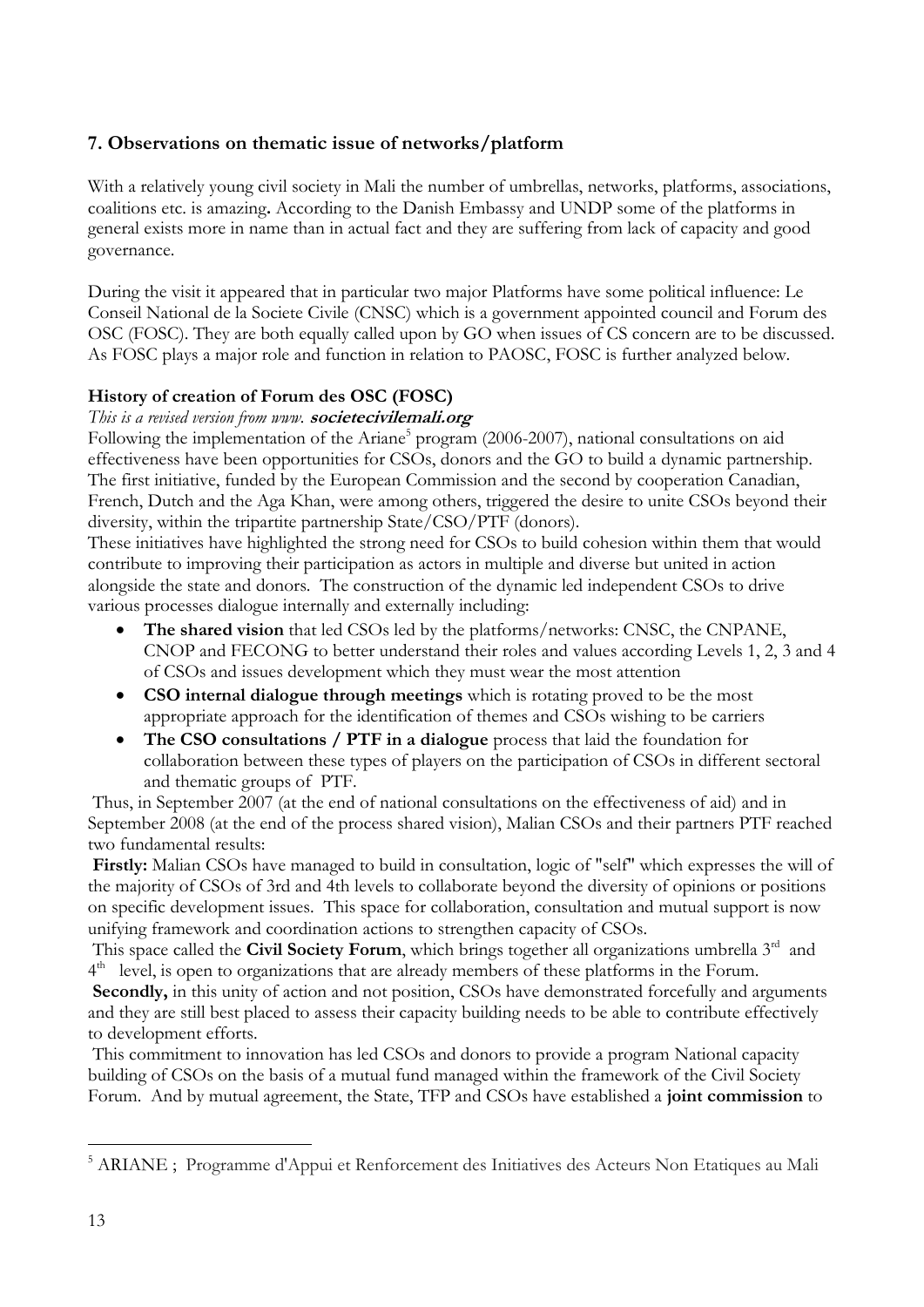## <span id="page-12-0"></span>**7. Observations on thematic issue of networks/platform**

With a relatively young civil society in Mali the number of umbrellas, networks, platforms, associations, coalitions etc. is amazing**.** According to the Danish Embassy and UNDP some of the platforms in general exists more in name than in actual fact and they are suffering from lack of capacity and good governance.

During the visit it appeared that in particular two major Platforms have some political influence: Le Conseil National de la Societe Civile (CNSC) which is a government appointed council and Forum des OSC (FOSC). They are both equally called upon by GO when issues of CS concern are to be discussed. As FOSC plays a major role and function in relation to PAOSC, FOSC is further analyzed below.

## **History of creation of Forum des OSC (FOSC)**

#### *This is a revised version from www.* **societecivilemali.org**

Following the implementation of the Ariane<sup>5</sup> program (2006-2007), national consultations on aid effectiveness have been opportunities for CSOs, donors and the GO to build a dynamic partnership. The first initiative, funded by the European Commission and the second by cooperation Canadian, French, Dutch and the Aga Khan, were among others, triggered the desire to unite CSOs beyond their diversity, within the tripartite partnership State/CSO/PTF (donors).

These initiatives have highlighted the strong need for CSOs to build cohesion within them that would contribute to improving their participation as actors in multiple and diverse but united in action alongside the state and donors. The construction of the dynamic led independent CSOs to drive various processes dialogue internally and externally including:

- **The shared vision** that led CSOs led by the platforms/networks: CNSC, the CNPANE, CNOP and FECONG to better understand their roles and values according Levels 1, 2, 3 and 4 of CSOs and issues development which they must wear the most attention
- **CSO internal dialogue through meetings** which is rotating proved to be the most appropriate approach for the identification of themes and CSOs wishing to be carriers
- **The CSO consultations / PTF in a dialogue** process that laid the foundation for collaboration between these types of players on the participation of CSOs in different sectoral and thematic groups of PTF.

Thus, in September 2007 (at the end of national consultations on the effectiveness of aid) and in September 2008 (at the end of the process shared vision), Malian CSOs and their partners PTF reached two fundamental results:

**Firstly:** Malian CSOs have managed to build in consultation, logic of "self" which expresses the will of the majority of CSOs of 3rd and 4th levels to collaborate beyond the diversity of opinions or positions on specific development issues. This space for collaboration, consultation and mutual support is now unifying framework and coordination actions to strengthen capacity of CSOs.

This space called the Civil Society Forum, which brings together all organizations umbrella 3<sup>rd</sup> and 4<sup>th</sup> level, is open to organizations that are already members of these platforms in the Forum.

Secondly, in this unity of action and not position, CSOs have demonstrated forcefully and arguments and they are still best placed to assess their capacity building needs to be able to contribute effectively to development efforts.

This commitment to innovation has led CSOs and donors to provide a program National capacity building of CSOs on the basis of a mutual fund managed within the framework of the Civil Society Forum. And by mutual agreement, the State, TFP and CSOs have established a **joint commission** to

-

<sup>&</sup>lt;sup>5</sup> ARIANE ; Programme d'Appui et Renforcement des Initiatives des Acteurs Non Etatiques au Mali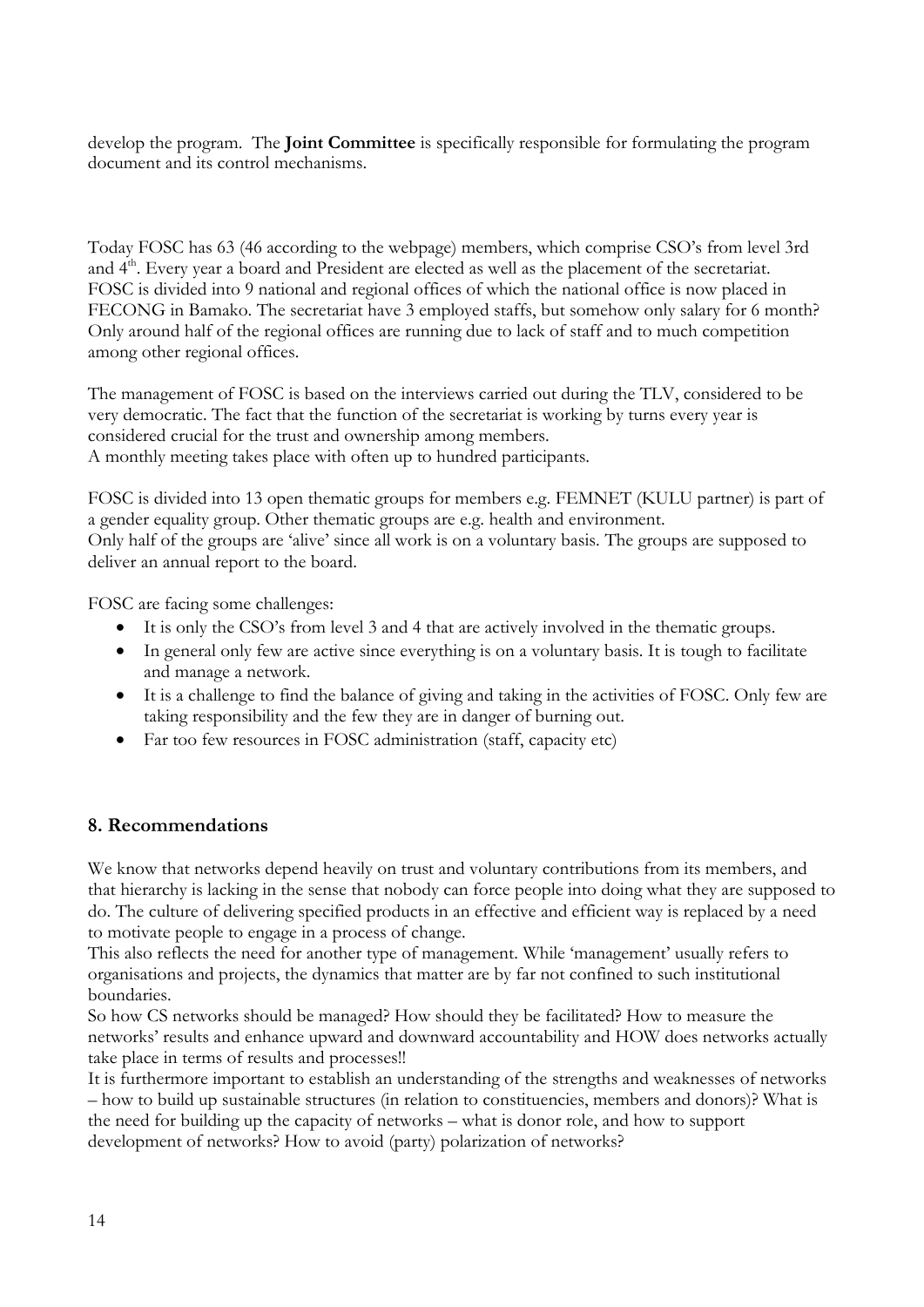develop the program. The **Joint Committee** is specifically responsible for formulating the program document and its control mechanisms.

Today FOSC has 63 (46 according to the webpage) members, which comprise CSO's from level 3rd and 4<sup>th</sup>. Every year a board and President are elected as well as the placement of the secretariat. FOSC is divided into 9 national and regional offices of which the national office is now placed in FECONG in Bamako. The secretariat have 3 employed staffs, but somehow only salary for 6 month? Only around half of the regional offices are running due to lack of staff and to much competition among other regional offices.

The management of FOSC is based on the interviews carried out during the TLV, considered to be very democratic. The fact that the function of the secretariat is working by turns every year is considered crucial for the trust and ownership among members. A monthly meeting takes place with often up to hundred participants.

FOSC is divided into 13 open thematic groups for members e.g. FEMNET (KULU partner) is part of a gender equality group. Other thematic groups are e.g. health and environment. Only half of the groups are 'alive' since all work is on a voluntary basis. The groups are supposed to deliver an annual report to the board.

FOSC are facing some challenges:

- It is only the CSO's from level 3 and 4 that are actively involved in the thematic groups.
- In general only few are active since everything is on a voluntary basis. It is tough to facilitate and manage a network.
- It is a challenge to find the balance of giving and taking in the activities of FOSC. Only few are taking responsibility and the few they are in danger of burning out.
- Far too few resources in FOSC administration (staff, capacity etc)

## <span id="page-13-0"></span>**8. Recommendations**

We know that networks depend heavily on trust and voluntary contributions from its members, and that hierarchy is lacking in the sense that nobody can force people into doing what they are supposed to do. The culture of delivering specified products in an effective and efficient way is replaced by a need to motivate people to engage in a process of change.

This also reflects the need for another type of management. While 'management' usually refers to organisations and projects, the dynamics that matter are by far not confined to such institutional boundaries.

So how CS networks should be managed? How should they be facilitated? How to measure the networks' results and enhance upward and downward accountability and HOW does networks actually take place in terms of results and processes!!

It is furthermore important to establish an understanding of the strengths and weaknesses of networks – how to build up sustainable structures (in relation to constituencies, members and donors)? What is the need for building up the capacity of networks – what is donor role, and how to support development of networks? How to avoid (party) polarization of networks?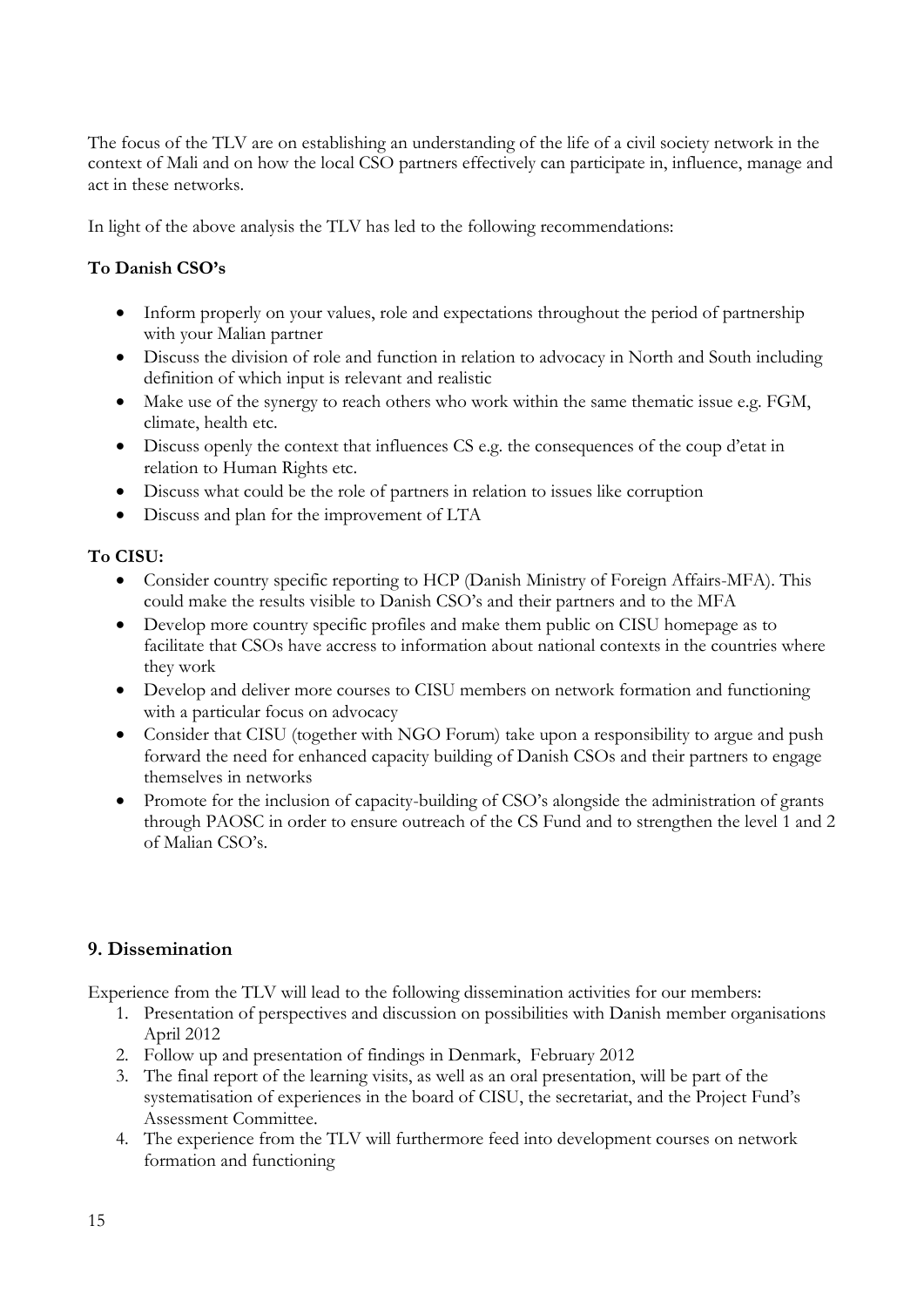The focus of the TLV are on establishing an understanding of the life of a civil society network in the context of Mali and on how the local CSO partners effectively can participate in, influence, manage and act in these networks.

In light of the above analysis the TLV has led to the following recommendations:

## **To Danish CSO's**

- Inform properly on your values, role and expectations throughout the period of partnership with your Malian partner
- Discuss the division of role and function in relation to advocacy in North and South including definition of which input is relevant and realistic
- Make use of the synergy to reach others who work within the same thematic issue e.g. FGM, climate, health etc.
- Discuss openly the context that influences CS e.g. the consequences of the coup d'etat in relation to Human Rights etc.
- Discuss what could be the role of partners in relation to issues like corruption
- Discuss and plan for the improvement of LTA

#### **To CISU:**

- Consider country specific reporting to HCP (Danish Ministry of Foreign Affairs-MFA). This could make the results visible to Danish CSO's and their partners and to the MFA
- Develop more country specific profiles and make them public on CISU homepage as to facilitate that CSOs have accress to information about national contexts in the countries where they work
- Develop and deliver more courses to CISU members on network formation and functioning with a particular focus on advocacy
- Consider that CISU (together with NGO Forum) take upon a responsibility to argue and push forward the need for enhanced capacity building of Danish CSOs and their partners to engage themselves in networks
- Promote for the inclusion of capacity-building of CSO's alongside the administration of grants through PAOSC in order to ensure outreach of the CS Fund and to strengthen the level 1 and 2 of Malian CSO's.

## <span id="page-14-0"></span>**9. Dissemination**

Experience from the TLV will lead to the following dissemination activities for our members:

- 1. Presentation of perspectives and discussion on possibilities with Danish member organisations April 2012
- 2. Follow up and presentation of findings in Denmark, February 2012
- 3. The final report of the learning visits, as well as an oral presentation, will be part of the systematisation of experiences in the board of CISU, the secretariat, and the Project Fund's Assessment Committee.
- 4. The experience from the TLV will furthermore feed into development courses on network formation and functioning